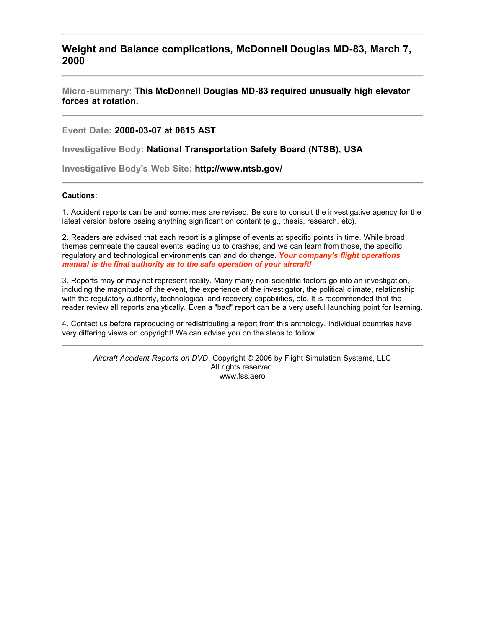## **Weight and Balance complications, McDonnell Douglas MD-83, March 7, 2000**

**Micro-summary: This McDonnell Douglas MD-83 required unusually high elevator forces at rotation.**

**Event Date: 2000-03-07 at 0615 AST**

**Investigative Body: National Transportation Safety Board (NTSB), USA**

**Investigative Body's Web Site: http://www.ntsb.gov/**

## **Cautions:**

1. Accident reports can be and sometimes are revised. Be sure to consult the investigative agency for the latest version before basing anything significant on content (e.g., thesis, research, etc).

2. Readers are advised that each report is a glimpse of events at specific points in time. While broad themes permeate the causal events leading up to crashes, and we can learn from those, the specific regulatory and technological environments can and do change. *Your company's flight operations manual is the final authority as to the safe operation of your aircraft!*

3. Reports may or may not represent reality. Many many non-scientific factors go into an investigation, including the magnitude of the event, the experience of the investigator, the political climate, relationship with the regulatory authority, technological and recovery capabilities, etc. It is recommended that the reader review all reports analytically. Even a "bad" report can be a very useful launching point for learning.

4. Contact us before reproducing or redistributing a report from this anthology. Individual countries have very differing views on copyright! We can advise you on the steps to follow.

*Aircraft Accident Reports on DVD*, Copyright © 2006 by Flight Simulation Systems, LLC All rights reserved. www.fss.aero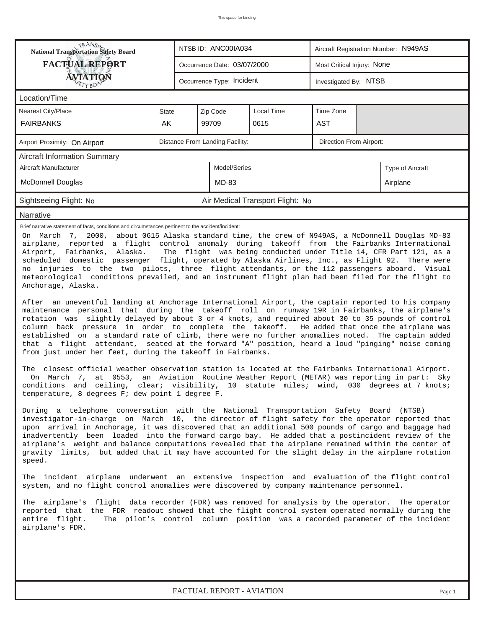| <b>National Transportation Safety Board</b><br>NTSB ID: ANC00IA034<br>Aircraft Registration Number: N949AS                                                                                                                                                                                                                                                                                                                                                                                                                                                                                                                                                                                                                                                                                                                                                                                                                                                                                                                                                                                                                                                                                                                                                                                                                                                                                                                                                                                                                                                                                                                                                                                                                                                                                                                                                                                                                                                                                                                                                                                                                                                                                                                                                                                                                                                                                                                                                                                                                                                                                                                                                                                                                                                                                                                                                                                                                                   |              |                                     |  |  |  |  |  |  |  |  |  |
|----------------------------------------------------------------------------------------------------------------------------------------------------------------------------------------------------------------------------------------------------------------------------------------------------------------------------------------------------------------------------------------------------------------------------------------------------------------------------------------------------------------------------------------------------------------------------------------------------------------------------------------------------------------------------------------------------------------------------------------------------------------------------------------------------------------------------------------------------------------------------------------------------------------------------------------------------------------------------------------------------------------------------------------------------------------------------------------------------------------------------------------------------------------------------------------------------------------------------------------------------------------------------------------------------------------------------------------------------------------------------------------------------------------------------------------------------------------------------------------------------------------------------------------------------------------------------------------------------------------------------------------------------------------------------------------------------------------------------------------------------------------------------------------------------------------------------------------------------------------------------------------------------------------------------------------------------------------------------------------------------------------------------------------------------------------------------------------------------------------------------------------------------------------------------------------------------------------------------------------------------------------------------------------------------------------------------------------------------------------------------------------------------------------------------------------------------------------------------------------------------------------------------------------------------------------------------------------------------------------------------------------------------------------------------------------------------------------------------------------------------------------------------------------------------------------------------------------------------------------------------------------------------------------------------------------------|--------------|-------------------------------------|--|--|--|--|--|--|--|--|--|
| <b>FACTUAL REPORT</b><br>Most Critical Injury: None<br>Occurrence Date: 03/07/2000                                                                                                                                                                                                                                                                                                                                                                                                                                                                                                                                                                                                                                                                                                                                                                                                                                                                                                                                                                                                                                                                                                                                                                                                                                                                                                                                                                                                                                                                                                                                                                                                                                                                                                                                                                                                                                                                                                                                                                                                                                                                                                                                                                                                                                                                                                                                                                                                                                                                                                                                                                                                                                                                                                                                                                                                                                                           |              |                                     |  |  |  |  |  |  |  |  |  |
| ÁVIATION<br>Occurrence Type: Incident<br>Investigated By: NTSB<br>ETYBOR                                                                                                                                                                                                                                                                                                                                                                                                                                                                                                                                                                                                                                                                                                                                                                                                                                                                                                                                                                                                                                                                                                                                                                                                                                                                                                                                                                                                                                                                                                                                                                                                                                                                                                                                                                                                                                                                                                                                                                                                                                                                                                                                                                                                                                                                                                                                                                                                                                                                                                                                                                                                                                                                                                                                                                                                                                                                     |              |                                     |  |  |  |  |  |  |  |  |  |
| Location/Time                                                                                                                                                                                                                                                                                                                                                                                                                                                                                                                                                                                                                                                                                                                                                                                                                                                                                                                                                                                                                                                                                                                                                                                                                                                                                                                                                                                                                                                                                                                                                                                                                                                                                                                                                                                                                                                                                                                                                                                                                                                                                                                                                                                                                                                                                                                                                                                                                                                                                                                                                                                                                                                                                                                                                                                                                                                                                                                                |              |                                     |  |  |  |  |  |  |  |  |  |
| Nearest City/Place                                                                                                                                                                                                                                                                                                                                                                                                                                                                                                                                                                                                                                                                                                                                                                                                                                                                                                                                                                                                                                                                                                                                                                                                                                                                                                                                                                                                                                                                                                                                                                                                                                                                                                                                                                                                                                                                                                                                                                                                                                                                                                                                                                                                                                                                                                                                                                                                                                                                                                                                                                                                                                                                                                                                                                                                                                                                                                                           | <b>State</b> | Local Time<br>Time Zone<br>Zip Code |  |  |  |  |  |  |  |  |  |
| <b>FAIRBANKS</b>                                                                                                                                                                                                                                                                                                                                                                                                                                                                                                                                                                                                                                                                                                                                                                                                                                                                                                                                                                                                                                                                                                                                                                                                                                                                                                                                                                                                                                                                                                                                                                                                                                                                                                                                                                                                                                                                                                                                                                                                                                                                                                                                                                                                                                                                                                                                                                                                                                                                                                                                                                                                                                                                                                                                                                                                                                                                                                                             | AK           | 99709<br>0615<br><b>AST</b>         |  |  |  |  |  |  |  |  |  |
| Distance From Landing Facility:<br>Direction From Airport:<br>Airport Proximity: On Airport                                                                                                                                                                                                                                                                                                                                                                                                                                                                                                                                                                                                                                                                                                                                                                                                                                                                                                                                                                                                                                                                                                                                                                                                                                                                                                                                                                                                                                                                                                                                                                                                                                                                                                                                                                                                                                                                                                                                                                                                                                                                                                                                                                                                                                                                                                                                                                                                                                                                                                                                                                                                                                                                                                                                                                                                                                                  |              |                                     |  |  |  |  |  |  |  |  |  |
| <b>Aircraft Information Summary</b>                                                                                                                                                                                                                                                                                                                                                                                                                                                                                                                                                                                                                                                                                                                                                                                                                                                                                                                                                                                                                                                                                                                                                                                                                                                                                                                                                                                                                                                                                                                                                                                                                                                                                                                                                                                                                                                                                                                                                                                                                                                                                                                                                                                                                                                                                                                                                                                                                                                                                                                                                                                                                                                                                                                                                                                                                                                                                                          |              |                                     |  |  |  |  |  |  |  |  |  |
| Model/Series<br>Aircraft Manufacturer<br>Type of Aircraft                                                                                                                                                                                                                                                                                                                                                                                                                                                                                                                                                                                                                                                                                                                                                                                                                                                                                                                                                                                                                                                                                                                                                                                                                                                                                                                                                                                                                                                                                                                                                                                                                                                                                                                                                                                                                                                                                                                                                                                                                                                                                                                                                                                                                                                                                                                                                                                                                                                                                                                                                                                                                                                                                                                                                                                                                                                                                    |              |                                     |  |  |  |  |  |  |  |  |  |
| McDonnell Douglas<br>MD-83<br>Airplane                                                                                                                                                                                                                                                                                                                                                                                                                                                                                                                                                                                                                                                                                                                                                                                                                                                                                                                                                                                                                                                                                                                                                                                                                                                                                                                                                                                                                                                                                                                                                                                                                                                                                                                                                                                                                                                                                                                                                                                                                                                                                                                                                                                                                                                                                                                                                                                                                                                                                                                                                                                                                                                                                                                                                                                                                                                                                                       |              |                                     |  |  |  |  |  |  |  |  |  |
| Sightseeing Flight: No<br>Air Medical Transport Flight: No                                                                                                                                                                                                                                                                                                                                                                                                                                                                                                                                                                                                                                                                                                                                                                                                                                                                                                                                                                                                                                                                                                                                                                                                                                                                                                                                                                                                                                                                                                                                                                                                                                                                                                                                                                                                                                                                                                                                                                                                                                                                                                                                                                                                                                                                                                                                                                                                                                                                                                                                                                                                                                                                                                                                                                                                                                                                                   |              |                                     |  |  |  |  |  |  |  |  |  |
| Narrative                                                                                                                                                                                                                                                                                                                                                                                                                                                                                                                                                                                                                                                                                                                                                                                                                                                                                                                                                                                                                                                                                                                                                                                                                                                                                                                                                                                                                                                                                                                                                                                                                                                                                                                                                                                                                                                                                                                                                                                                                                                                                                                                                                                                                                                                                                                                                                                                                                                                                                                                                                                                                                                                                                                                                                                                                                                                                                                                    |              |                                     |  |  |  |  |  |  |  |  |  |
| Brief narrative statement of facts, conditions and circumstances pertinent to the accident/incident:<br>On March 7, 2000, about 0615 Alaska standard time, the crew of N949AS, a McDonnell Douglas MD-83<br>airplane, reported a flight control anomaly during takeoff from the Fairbanks International<br>The flight was being conducted under Title 14, CFR Part 121, as a<br>Airport, Fairbanks, Alaska.<br>scheduled domestic passenger flight, operated by Alaska Airlines, Inc., as Flight 92. There were<br>no injuries to the two pilots, three flight attendants, or the 112 passengers aboard. Visual<br>meteorological conditions prevailed, and an instrument flight plan had been filed for the flight to<br>Anchorage, Alaska.<br>After an uneventful landing at Anchorage International Airport, the captain reported to his company<br>maintenance personal that during the takeoff roll on runway 19R in Fairbanks, the airplane's<br>rotation was slightly delayed by about 3 or 4 knots, and required about 30 to 35 pounds of control<br>column back pressure in order to complete the takeoff. He added that once the airplane was<br>established on a standard rate of climb, there were no further anomalies noted. The captain added<br>that a flight attendant, seated at the forward "A" position, heard a loud "pinging" noise coming<br>from just under her feet, during the takeoff in Fairbanks.<br>The closest official weather observation station is located at the Fairbanks International Airport.<br>On March 7, at 0553, an Aviation Routine Weather Report (METAR) was reporting in part: Sky<br>conditions and ceiling, clear; visibility, 10 statute miles; wind, 030 degrees at 7 knots;<br>temperature, 8 degrees F; dew point 1 degree F.<br>During a telephone conversation with the National Transportation Safety Board (NTSB)<br>investigator-in-charge on March 10, the director of flight safety for the operator reported that<br>upon arrival in Anchorage, it was discovered that an additional 500 pounds of cargo and baggage had<br>inadvertently been loaded into the forward cargo bay. He added that a postincident review of the<br>airplane's weight and balance computations revealed that the airplane remained within the center of<br>gravity limits, but added that it may have accounted for the slight delay in the airplane rotation<br>speed.<br>The incident airplane underwent an extensive inspection and evaluation of the flight control<br>system, and no flight control anomalies were discovered by company maintenance personnel.<br>The airplane's flight data recorder (FDR) was removed for analysis by the operator. The operator<br>reported that the FDR readout showed that the flight control system operated normally during the<br>The pilot's control column position was a recorded parameter of the incident<br>entire flight.<br>airplane's FDR. |              |                                     |  |  |  |  |  |  |  |  |  |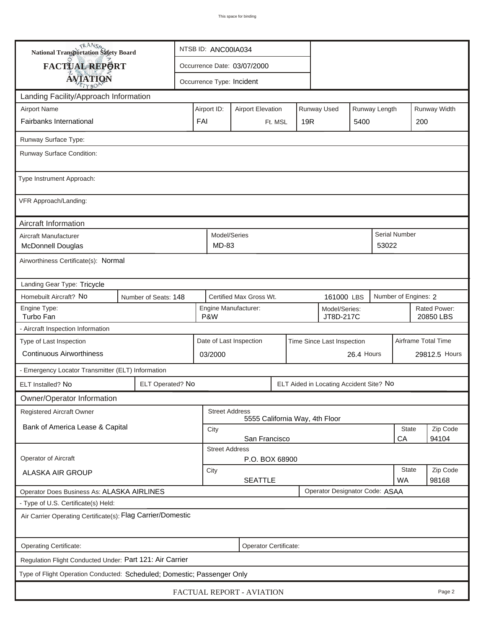| <b>National Transportation Safety Board</b>                             |                                                           | NTSB ID: ANC00IA034         |                           |  |         |                                |                                         |                           |                      |       |  |  |
|-------------------------------------------------------------------------|-----------------------------------------------------------|-----------------------------|---------------------------|--|---------|--------------------------------|-----------------------------------------|---------------------------|----------------------|-------|--|--|
| FACTUAL REPORT                                                          |                                                           | Occurrence Date: 03/07/2000 |                           |  |         |                                |                                         |                           |                      |       |  |  |
| <b>AVIATION</b>                                                         |                                                           |                             | Occurrence Type: Incident |  |         |                                |                                         |                           |                      |       |  |  |
| Landing Facility/Approach Information                                   |                                                           |                             |                           |  |         |                                |                                         |                           |                      |       |  |  |
| <b>Airport Name</b>                                                     | Airport ID:                                               |                             | Runway Width              |  |         |                                |                                         |                           |                      |       |  |  |
| Fairbanks International                                                 |                                                           | FAI                         |                           |  | Ft. MSL | 19R                            |                                         | 5400                      |                      | 200   |  |  |
| Runway Surface Type:                                                    |                                                           |                             |                           |  |         |                                |                                         |                           |                      |       |  |  |
| Runway Surface Condition:                                               |                                                           |                             |                           |  |         |                                |                                         |                           |                      |       |  |  |
| Type Instrument Approach:                                               |                                                           |                             |                           |  |         |                                |                                         |                           |                      |       |  |  |
| VFR Approach/Landing:                                                   |                                                           |                             |                           |  |         |                                |                                         |                           |                      |       |  |  |
| Aircraft Information                                                    |                                                           |                             |                           |  |         |                                |                                         |                           |                      |       |  |  |
| Aircraft Manufacturer<br><b>McDonnell Douglas</b>                       |                                                           | Model/Series<br>MD-83       |                           |  |         |                                |                                         | 53022                     | Serial Number        |       |  |  |
| Airworthiness Certificate(s): Normal                                    |                                                           |                             |                           |  |         |                                |                                         |                           |                      |       |  |  |
| Landing Gear Type: Tricycle                                             |                                                           |                             |                           |  |         |                                |                                         |                           |                      |       |  |  |
| Homebuilt Aircraft? No<br>Number of Seats: 148                          |                                                           |                             | Certified Max Gross Wt.   |  |         | 161000 LBS                     |                                         |                           | Number of Engines: 2 |       |  |  |
| Engine Type:<br>Turbo Fan                                               | Engine Manufacturer:<br>Model/Series:<br>P&W<br>JT8D-217C |                             |                           |  |         |                                |                                         | Rated Power:<br>20850 LBS |                      |       |  |  |
| - Aircraft Inspection Information                                       |                                                           |                             |                           |  |         |                                |                                         |                           |                      |       |  |  |
| Type of Last Inspection                                                 | Date of Last Inspection<br>Time Since Last Inspection     |                             |                           |  |         |                                |                                         |                           | Airframe Total Time  |       |  |  |
| <b>Continuous Airworthiness</b>                                         |                                                           | 26.4 Hours<br>03/2000       |                           |  |         |                                |                                         |                           | 29812.5 Hours        |       |  |  |
|                                                                         | - Emergency Locator Transmitter (ELT) Information         |                             |                           |  |         |                                |                                         |                           |                      |       |  |  |
| ELT Installed? No                                                       | ELT Operated? No                                          |                             |                           |  |         |                                | ELT Aided in Locating Accident Site? No |                           |                      |       |  |  |
| Owner/Operator Information                                              |                                                           |                             |                           |  |         |                                |                                         |                           |                      |       |  |  |
| Registered Aircraft Owner                                               |                                                           | <b>Street Address</b>       |                           |  |         | 5555 California Way, 4th Floor |                                         |                           |                      |       |  |  |
| Bank of America Lease & Capital                                         | State<br>City                                             |                             |                           |  |         |                                |                                         |                           | Zip Code             |       |  |  |
|                                                                         | San Francisco<br>CA<br><b>Street Address</b>              |                             |                           |  |         |                                |                                         |                           |                      | 94104 |  |  |
| Operator of Aircraft                                                    | P.O. BOX 68900                                            |                             |                           |  |         |                                |                                         |                           |                      |       |  |  |
| ALASKA AIR GROUP                                                        | City<br><b>SEATTLE</b>                                    |                             |                           |  |         |                                | <b>State</b><br><b>WA</b>               | Zip Code<br>98168         |                      |       |  |  |
| Operator Does Business As: ALASKA AIRLINES                              |                                                           |                             |                           |  |         |                                | Operator Designator Code: ASAA          |                           |                      |       |  |  |
| - Type of U.S. Certificate(s) Held:                                     |                                                           |                             |                           |  |         |                                |                                         |                           |                      |       |  |  |
| Air Carrier Operating Certificate(s): Flag Carrier/Domestic             |                                                           |                             |                           |  |         |                                |                                         |                           |                      |       |  |  |
| Operating Certificate:                                                  |                                                           | Operator Certificate:       |                           |  |         |                                |                                         |                           |                      |       |  |  |
| Regulation Flight Conducted Under: Part 121: Air Carrier                |                                                           |                             |                           |  |         |                                |                                         |                           |                      |       |  |  |
| Type of Flight Operation Conducted: Scheduled; Domestic; Passenger Only |                                                           |                             |                           |  |         |                                |                                         |                           |                      |       |  |  |
| FACTUAL REPORT - AVIATION<br>Page 2                                     |                                                           |                             |                           |  |         |                                |                                         |                           |                      |       |  |  |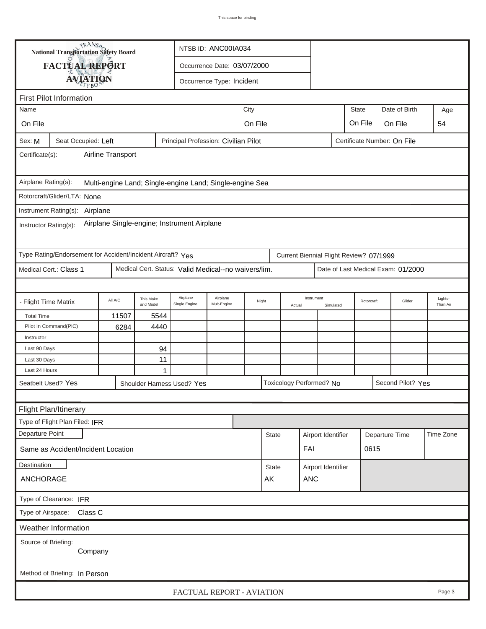| TRANSA<br>NTSB ID: ANC00IA034<br>National Transportation Safety Board                                             |                                      |  |   |                                      |  |              |              |               |                          |                    |                             |            |                                    |                     |
|-------------------------------------------------------------------------------------------------------------------|--------------------------------------|--|---|--------------------------------------|--|--------------|--------------|---------------|--------------------------|--------------------|-----------------------------|------------|------------------------------------|---------------------|
|                                                                                                                   | FACTUAL REPORT                       |  |   |                                      |  |              |              |               |                          |                    |                             |            |                                    |                     |
| Occurrence Date: 03/07/2000<br><b>AVIATION</b><br>Occurrence Type: Incident                                       |                                      |  |   |                                      |  |              |              |               |                          |                    |                             |            |                                    |                     |
|                                                                                                                   |                                      |  |   |                                      |  |              |              |               |                          |                    |                             |            |                                    |                     |
| <b>First Pilot Information</b>                                                                                    |                                      |  |   |                                      |  |              |              |               |                          |                    |                             |            |                                    |                     |
| Name                                                                                                              | City                                 |  |   |                                      |  | <b>State</b> |              | Date of Birth | Age                      |                    |                             |            |                                    |                     |
| On File                                                                                                           |                                      |  |   |                                      |  | On File      |              |               |                          |                    | On File                     |            | On File                            | 54                  |
| Sex: M                                                                                                            | Seat Occupied: Left                  |  |   | Principal Profession: Civilian Pilot |  |              |              |               |                          |                    | Certificate Number: On File |            |                                    |                     |
|                                                                                                                   | Airline Transport<br>Certificate(s): |  |   |                                      |  |              |              |               |                          |                    |                             |            |                                    |                     |
| Airplane Rating(s):<br>Multi-engine Land; Single-engine Land; Single-engine Sea                                   |                                      |  |   |                                      |  |              |              |               |                          |                    |                             |            |                                    |                     |
| Rotorcraft/Glider/LTA: None                                                                                       |                                      |  |   |                                      |  |              |              |               |                          |                    |                             |            |                                    |                     |
| Instrument Rating(s): Airplane                                                                                    |                                      |  |   |                                      |  |              |              |               |                          |                    |                             |            |                                    |                     |
| Airplane Single-engine; Instrument Airplane<br>Instructor Rating(s):                                              |                                      |  |   |                                      |  |              |              |               |                          |                    |                             |            |                                    |                     |
| Type Rating/Endorsement for Accident/Incident Aircraft? Yes<br>Current Biennial Flight Review? 07/1999            |                                      |  |   |                                      |  |              |              |               |                          |                    |                             |            |                                    |                     |
| Medical Cert.: Class 1<br>Medical Cert. Status: Valid Medical--no waivers/lim.                                    |                                      |  |   |                                      |  |              |              |               |                          |                    |                             |            | Date of Last Medical Exam: 01/2000 |                     |
|                                                                                                                   |                                      |  |   |                                      |  |              |              |               |                          |                    |                             |            |                                    |                     |
| Airplane<br>Airplane<br>This Make<br>All A/C<br>- Flight Time Matrix<br>Mult-Engine<br>and Model<br>Single Engine |                                      |  |   |                                      |  | Night        |              | Actual        | Instrument               | Simulated          |                             | Rotorcraft | Glider                             | Lighter<br>Than Air |
|                                                                                                                   | 11507<br>5544<br><b>Total Time</b>   |  |   |                                      |  |              |              |               |                          |                    |                             |            |                                    |                     |
| Pilot In Command(PIC)<br>6284<br>4440                                                                             |                                      |  |   |                                      |  |              |              |               |                          |                    |                             |            |                                    |                     |
| Instructor                                                                                                        |                                      |  |   |                                      |  |              |              |               |                          |                    |                             |            |                                    |                     |
| Last 90 Days<br>94                                                                                                |                                      |  |   |                                      |  |              |              |               |                          |                    |                             |            |                                    |                     |
| Last 24 Hours                                                                                                     | 11<br>Last 30 Days                   |  |   |                                      |  |              |              |               |                          |                    |                             |            |                                    |                     |
|                                                                                                                   |                                      |  | 1 |                                      |  |              |              |               |                          |                    |                             |            | Second Pilot? Yes                  |                     |
| Seatbelt Used? Yes<br>Shoulder Harness Used? Yes                                                                  |                                      |  |   |                                      |  |              |              |               | Toxicology Performed? No |                    |                             |            |                                    |                     |
| Flight Plan/Itinerary                                                                                             |                                      |  |   |                                      |  |              |              |               |                          |                    |                             |            |                                    |                     |
|                                                                                                                   |                                      |  |   |                                      |  |              |              |               |                          |                    |                             |            |                                    |                     |
|                                                                                                                   | Type of Flight Plan Filed: IFR       |  |   |                                      |  |              |              |               |                          |                    |                             |            |                                    |                     |
| Departure Point                                                                                                   |                                      |  |   |                                      |  |              | <b>State</b> |               | Airport Identifier       |                    | Departure Time              |            |                                    | Time Zone           |
| Same as Accident/Incident Location                                                                                |                                      |  |   |                                      |  |              |              |               | FAI                      |                    |                             | 0615       |                                    |                     |
| Destination                                                                                                       |                                      |  |   |                                      |  |              | <b>State</b> |               |                          | Airport Identifier |                             |            |                                    |                     |
| ANCHORAGE                                                                                                         |                                      |  |   |                                      |  |              | AK           |               | <b>ANC</b>               |                    |                             |            |                                    |                     |
| Type of Clearance: IFR                                                                                            |                                      |  |   |                                      |  |              |              |               |                          |                    |                             |            |                                    |                     |
|                                                                                                                   | Type of Airspace: Class C            |  |   |                                      |  |              |              |               |                          |                    |                             |            |                                    |                     |
|                                                                                                                   | <b>Weather Information</b>           |  |   |                                      |  |              |              |               |                          |                    |                             |            |                                    |                     |
| Source of Briefing:                                                                                               | Company                              |  |   |                                      |  |              |              |               |                          |                    |                             |            |                                    |                     |
|                                                                                                                   | Method of Briefing: In Person        |  |   |                                      |  |              |              |               |                          |                    |                             |            |                                    |                     |
|                                                                                                                   |                                      |  |   |                                      |  |              |              |               |                          |                    |                             |            |                                    |                     |
|                                                                                                                   |                                      |  |   | FACTUAL REPORT - AVIATION            |  |              |              |               |                          |                    |                             |            |                                    | Page 3              |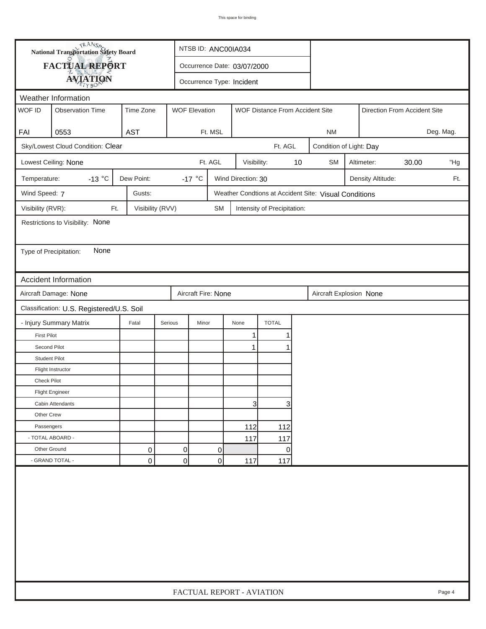| FACTUAL REPORT<br>Occurrence Date: 03/07/2000<br><b>AVIATION</b><br>Occurrence Type: Incident<br>Weather Information<br>WOF ID<br><b>Observation Time</b><br>Time Zone<br><b>WOF Elevation</b><br>WOF Distance From Accident Site<br>Direction From Accident Site<br><b>AST</b><br>FAI<br>0553<br>Ft. MSL<br>Deg. Mag.<br><b>NM</b><br>Sky/Lowest Cloud Condition: Clear<br>Ft. AGL<br>Condition of Light: Day<br>Ft. AGL<br>Lowest Ceiling: None<br>Visibility:<br>10<br><b>SM</b><br>Altimeter:<br>30.00<br>$-13 °C$<br>Dew Point:<br>-17 $\degree$ C<br>Wind Direction: 30<br>Temperature:<br>Density Altitude:<br>Wind Speed: 7<br>Gusts:<br>Weather Condtions at Accident Site: Visual Conditions<br>Visibility (RVR):<br>Visibility (RVV)<br>Ft.<br><b>SM</b><br>Intensity of Precipitation:<br>Restrictions to Visibility: None<br>None<br>Type of Precipitation:<br>Accident Information<br>Aircraft Damage: None<br>Aircraft Fire: None<br>Aircraft Explosion None<br>Classification: U.S. Registered/U.S. Soil<br>- Injury Summary Matrix<br><b>TOTAL</b><br>Fatal<br>Serious<br>Minor<br>None<br>1<br><b>First Pilot</b><br>1<br>Second Pilot<br>1<br>1<br><b>Student Pilot</b><br>Flight Instructor<br><b>Check Pilot</b> |  | <b>National Transportation Safety Board</b> |  |  | NTSB ID: ANC00IA034       |  |  |  |  |  |  |     |        |
|---------------------------------------------------------------------------------------------------------------------------------------------------------------------------------------------------------------------------------------------------------------------------------------------------------------------------------------------------------------------------------------------------------------------------------------------------------------------------------------------------------------------------------------------------------------------------------------------------------------------------------------------------------------------------------------------------------------------------------------------------------------------------------------------------------------------------------------------------------------------------------------------------------------------------------------------------------------------------------------------------------------------------------------------------------------------------------------------------------------------------------------------------------------------------------------------------------------------------------------|--|---------------------------------------------|--|--|---------------------------|--|--|--|--|--|--|-----|--------|
|                                                                                                                                                                                                                                                                                                                                                                                                                                                                                                                                                                                                                                                                                                                                                                                                                                                                                                                                                                                                                                                                                                                                                                                                                                       |  |                                             |  |  |                           |  |  |  |  |  |  |     |        |
|                                                                                                                                                                                                                                                                                                                                                                                                                                                                                                                                                                                                                                                                                                                                                                                                                                                                                                                                                                                                                                                                                                                                                                                                                                       |  |                                             |  |  |                           |  |  |  |  |  |  |     |        |
|                                                                                                                                                                                                                                                                                                                                                                                                                                                                                                                                                                                                                                                                                                                                                                                                                                                                                                                                                                                                                                                                                                                                                                                                                                       |  |                                             |  |  |                           |  |  |  |  |  |  |     |        |
|                                                                                                                                                                                                                                                                                                                                                                                                                                                                                                                                                                                                                                                                                                                                                                                                                                                                                                                                                                                                                                                                                                                                                                                                                                       |  |                                             |  |  |                           |  |  |  |  |  |  |     |        |
|                                                                                                                                                                                                                                                                                                                                                                                                                                                                                                                                                                                                                                                                                                                                                                                                                                                                                                                                                                                                                                                                                                                                                                                                                                       |  |                                             |  |  |                           |  |  |  |  |  |  |     |        |
|                                                                                                                                                                                                                                                                                                                                                                                                                                                                                                                                                                                                                                                                                                                                                                                                                                                                                                                                                                                                                                                                                                                                                                                                                                       |  |                                             |  |  |                           |  |  |  |  |  |  |     |        |
|                                                                                                                                                                                                                                                                                                                                                                                                                                                                                                                                                                                                                                                                                                                                                                                                                                                                                                                                                                                                                                                                                                                                                                                                                                       |  |                                             |  |  |                           |  |  |  |  |  |  |     |        |
|                                                                                                                                                                                                                                                                                                                                                                                                                                                                                                                                                                                                                                                                                                                                                                                                                                                                                                                                                                                                                                                                                                                                                                                                                                       |  |                                             |  |  |                           |  |  |  |  |  |  |     | "Hg    |
|                                                                                                                                                                                                                                                                                                                                                                                                                                                                                                                                                                                                                                                                                                                                                                                                                                                                                                                                                                                                                                                                                                                                                                                                                                       |  |                                             |  |  |                           |  |  |  |  |  |  | Ft. |        |
|                                                                                                                                                                                                                                                                                                                                                                                                                                                                                                                                                                                                                                                                                                                                                                                                                                                                                                                                                                                                                                                                                                                                                                                                                                       |  |                                             |  |  |                           |  |  |  |  |  |  |     |        |
|                                                                                                                                                                                                                                                                                                                                                                                                                                                                                                                                                                                                                                                                                                                                                                                                                                                                                                                                                                                                                                                                                                                                                                                                                                       |  |                                             |  |  |                           |  |  |  |  |  |  |     |        |
|                                                                                                                                                                                                                                                                                                                                                                                                                                                                                                                                                                                                                                                                                                                                                                                                                                                                                                                                                                                                                                                                                                                                                                                                                                       |  |                                             |  |  |                           |  |  |  |  |  |  |     |        |
|                                                                                                                                                                                                                                                                                                                                                                                                                                                                                                                                                                                                                                                                                                                                                                                                                                                                                                                                                                                                                                                                                                                                                                                                                                       |  |                                             |  |  |                           |  |  |  |  |  |  |     |        |
|                                                                                                                                                                                                                                                                                                                                                                                                                                                                                                                                                                                                                                                                                                                                                                                                                                                                                                                                                                                                                                                                                                                                                                                                                                       |  |                                             |  |  |                           |  |  |  |  |  |  |     |        |
|                                                                                                                                                                                                                                                                                                                                                                                                                                                                                                                                                                                                                                                                                                                                                                                                                                                                                                                                                                                                                                                                                                                                                                                                                                       |  |                                             |  |  |                           |  |  |  |  |  |  |     |        |
|                                                                                                                                                                                                                                                                                                                                                                                                                                                                                                                                                                                                                                                                                                                                                                                                                                                                                                                                                                                                                                                                                                                                                                                                                                       |  |                                             |  |  |                           |  |  |  |  |  |  |     |        |
|                                                                                                                                                                                                                                                                                                                                                                                                                                                                                                                                                                                                                                                                                                                                                                                                                                                                                                                                                                                                                                                                                                                                                                                                                                       |  |                                             |  |  |                           |  |  |  |  |  |  |     |        |
|                                                                                                                                                                                                                                                                                                                                                                                                                                                                                                                                                                                                                                                                                                                                                                                                                                                                                                                                                                                                                                                                                                                                                                                                                                       |  |                                             |  |  |                           |  |  |  |  |  |  |     |        |
|                                                                                                                                                                                                                                                                                                                                                                                                                                                                                                                                                                                                                                                                                                                                                                                                                                                                                                                                                                                                                                                                                                                                                                                                                                       |  |                                             |  |  |                           |  |  |  |  |  |  |     |        |
|                                                                                                                                                                                                                                                                                                                                                                                                                                                                                                                                                                                                                                                                                                                                                                                                                                                                                                                                                                                                                                                                                                                                                                                                                                       |  |                                             |  |  |                           |  |  |  |  |  |  |     |        |
|                                                                                                                                                                                                                                                                                                                                                                                                                                                                                                                                                                                                                                                                                                                                                                                                                                                                                                                                                                                                                                                                                                                                                                                                                                       |  |                                             |  |  |                           |  |  |  |  |  |  |     |        |
|                                                                                                                                                                                                                                                                                                                                                                                                                                                                                                                                                                                                                                                                                                                                                                                                                                                                                                                                                                                                                                                                                                                                                                                                                                       |  |                                             |  |  |                           |  |  |  |  |  |  |     |        |
|                                                                                                                                                                                                                                                                                                                                                                                                                                                                                                                                                                                                                                                                                                                                                                                                                                                                                                                                                                                                                                                                                                                                                                                                                                       |  |                                             |  |  |                           |  |  |  |  |  |  |     |        |
|                                                                                                                                                                                                                                                                                                                                                                                                                                                                                                                                                                                                                                                                                                                                                                                                                                                                                                                                                                                                                                                                                                                                                                                                                                       |  |                                             |  |  |                           |  |  |  |  |  |  |     |        |
| <b>Flight Engineer</b>                                                                                                                                                                                                                                                                                                                                                                                                                                                                                                                                                                                                                                                                                                                                                                                                                                                                                                                                                                                                                                                                                                                                                                                                                |  |                                             |  |  |                           |  |  |  |  |  |  |     |        |
| $\mathbf{3}$<br>3<br>Cabin Attendants                                                                                                                                                                                                                                                                                                                                                                                                                                                                                                                                                                                                                                                                                                                                                                                                                                                                                                                                                                                                                                                                                                                                                                                                 |  |                                             |  |  |                           |  |  |  |  |  |  |     |        |
| Other Crew                                                                                                                                                                                                                                                                                                                                                                                                                                                                                                                                                                                                                                                                                                                                                                                                                                                                                                                                                                                                                                                                                                                                                                                                                            |  |                                             |  |  |                           |  |  |  |  |  |  |     |        |
| 112<br>Passengers<br>112                                                                                                                                                                                                                                                                                                                                                                                                                                                                                                                                                                                                                                                                                                                                                                                                                                                                                                                                                                                                                                                                                                                                                                                                              |  |                                             |  |  |                           |  |  |  |  |  |  |     |        |
| - TOTAL ABOARD -<br>117<br>117                                                                                                                                                                                                                                                                                                                                                                                                                                                                                                                                                                                                                                                                                                                                                                                                                                                                                                                                                                                                                                                                                                                                                                                                        |  |                                             |  |  |                           |  |  |  |  |  |  |     |        |
| Other Ground<br>$\overline{0}$<br>0<br>0<br>0                                                                                                                                                                                                                                                                                                                                                                                                                                                                                                                                                                                                                                                                                                                                                                                                                                                                                                                                                                                                                                                                                                                                                                                         |  |                                             |  |  |                           |  |  |  |  |  |  |     |        |
| - GRAND TOTAL -<br>0<br> 0 <br>0<br>117<br>117                                                                                                                                                                                                                                                                                                                                                                                                                                                                                                                                                                                                                                                                                                                                                                                                                                                                                                                                                                                                                                                                                                                                                                                        |  |                                             |  |  |                           |  |  |  |  |  |  |     |        |
|                                                                                                                                                                                                                                                                                                                                                                                                                                                                                                                                                                                                                                                                                                                                                                                                                                                                                                                                                                                                                                                                                                                                                                                                                                       |  |                                             |  |  | FACTUAL REPORT - AVIATION |  |  |  |  |  |  |     | Page 4 |